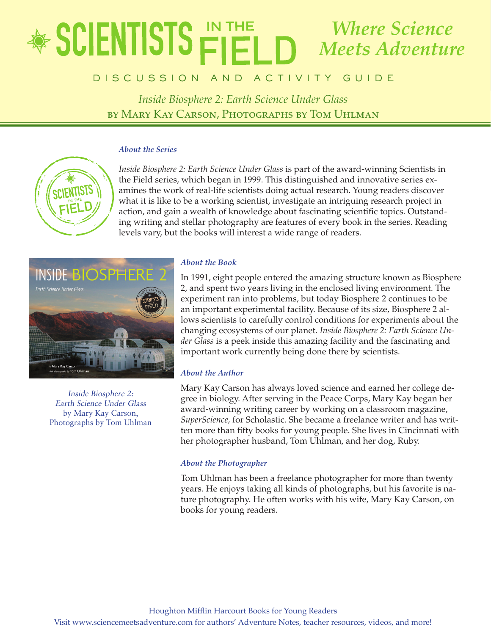## educator's Guide  $\blacksquare$ Intronder <u>Pier Deutsta</u> *Where Science Meets Adventure*

# **DISCUSSION AND ACTIVITY GUIDE**

*Inside Biosphere 2: Earth Science Under Glass* by Mary Kay Carson, Photographs by Tom Uhlman

### *About the Series*



*Inside Biosphere 2: Earth Science Under Glass* is part of the award-winning Scientists in the Field series, which began in 1999. This distinguished and innovative series examines the work of real-life scientists doing actual research. Young readers discover what it is like to be a working scientist, investigate an intriguing research project in action, and gain a wealth of knowledge about fascinating scientific topics. Outstanding writing and stellar photography are features of every book in the series. Reading levels vary, but the books will interest a wide range of readers.



Inside Biosphere 2: Earth Science Under Glass by Mary Kay Carson, Photographs by Tom Uhlman

## *About the Book*

In 1991, eight people entered the amazing structure known as Biosphere 2, and spent two years living in the enclosed living environment. The experiment ran into problems, but today Biosphere 2 continues to be an important experimental facility. Because of its size, Biosphere 2 allows scientists to carefully control conditions for experiments about the changing ecosystems of our planet. *Inside Biosphere 2: Earth Science Under Glass* is a peek inside this amazing facility and the fascinating and important work currently being done there by scientists.

## *About the Author*

Mary Kay Carson has always loved science and earned her college degree in biology. After serving in the Peace Corps, Mary Kay began her award-winning writing career by working on a classroom magazine, *SuperScience,* for Scholastic. She became a freelance writer and has written more than fifty books for young people. She lives in Cincinnati with her photographer husband, Tom Uhlman, and her dog, Ruby.

### *About the Photographer*

Tom Uhlman has been a freelance photographer for more than twenty years. He enjoys taking all kinds of photographs, but his favorite is nature photography. He often works with his wife, Mary Kay Carson, on books for young readers.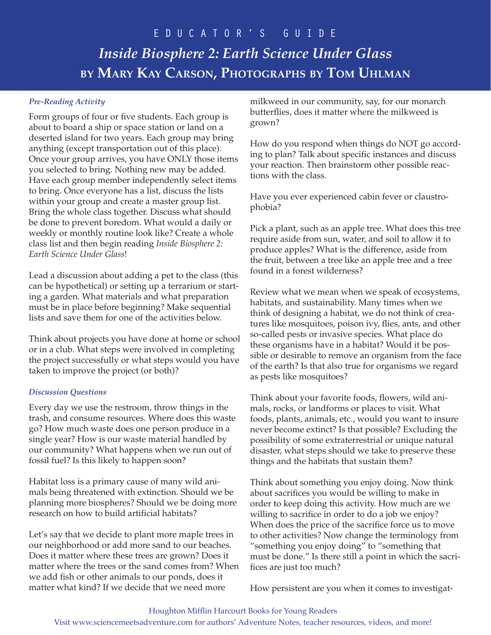## *Pre-Reading Activity*

Form groups of four or five students. Each group is about to board a ship or space station or land on a deserted island for two years. Each group may bring anything (except transportation out of this place). Once your group arrives, you have ONLY those items you selected to bring. Nothing new may be added. Have each group member independently select items to bring. Once everyone has a list, discuss the lists within your group and create a master group list. Bring the whole class together. Discuss what should be done to prevent boredom. What would a daily or weekly or monthly routine look like? Create a whole class list and then begin reading *Inside Biosphere 2: Earth Science Under Glass*!

Lead a discussion about adding a pet to the class (this can be hypothetical) or setting up a terrarium or starting a garden. What materials and what preparation must be in place before beginning? Make sequential lists and save them for one of the activities below.

Think about projects you have done at home or school or in a club. What steps were involved in completing the project successfully or what steps would you have taken to improve the project (or both)?

### *Discussion Questions*

Every day we use the restroom, throw things in the trash, and consume resources. Where does this waste go? How much waste does one person produce in a single year? How is our waste material handled by our community? What happens when we run out of fossil fuel? Is this likely to happen soon?

Habitat loss is a primary cause of many wild animals being threatened with extinction. Should we be planning more biospheres? Should we be doing more research on how to build artificial habitats?

Let's say that we decide to plant more maple trees in our neighborhood or add more sand to our beaches. Does it matter where these trees are grown? Does it matter where the trees or the sand comes from? When we add fish or other animals to our ponds, does it matter what kind? If we decide that we need more

milkweed in our community, say, for our monarch butterflies, does it matter where the milkweed is grown?

How do you respond when things do NOT go according to plan? Talk about specific instances and discuss your reaction. Then brainstorm other possible reactions with the class.

Have you ever experienced cabin fever or claustrophobia?

Pick a plant, such as an apple tree. What does this tree require aside from sun, water, and soil to allow it to produce apples? What is the difference, aside from the fruit, between a tree like an apple tree and a tree found in a forest wilderness?

Review what we mean when we speak of ecosystems, habitats, and sustainability. Many times when we think of designing a habitat, we do not think of creatures like mosquitoes, poison ivy, flies, ants, and other so-called pests or invasive species. What place do these organisms have in a habitat? Would it be possible or desirable to remove an organism from the face of the earth? Is that also true for organisms we regard as pests like mosquitoes?

Think about your favorite foods, flowers, wild animals, rocks, or landforms or places to visit. What foods, plants, animals, etc., would you want to insure never become extinct? Is that possible? Excluding the possibility of some extraterrestrial or unique natural disaster, what steps should we take to preserve these things and the habitats that sustain them?

Think about something you enjoy doing. Now think about sacrifices you would be willing to make in order to keep doing this activity. How much are we willing to sacrifice in order to do a job we enjoy? When does the price of the sacrifice force us to move to other activities? Now change the terminology from "something you enjoy doing" to "something that must be done." Is there still a point in which the sacrifices are just too much?

How persistent are you when it comes to investigat-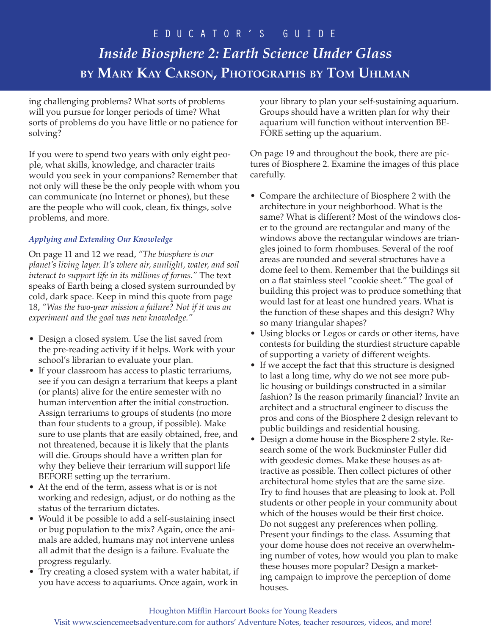ing challenging problems? What sorts of problems will you pursue for longer periods of time? What sorts of problems do you have little or no patience for solving?

If you were to spend two years with only eight people, what skills, knowledge, and character traits would you seek in your companions? Remember that not only will these be the only people with whom you can communicate (no Internet or phones), but these are the people who will cook, clean, fix things, solve problems, and more.

## *Applying and Extending Our Knowledge*

On page 11 and 12 we read, *"The biosphere is our planet's living layer. It's where air, sunlight, water, and soil interact to support life in its millions of forms."* The text speaks of Earth being a closed system surrounded by cold, dark space. Keep in mind this quote from page 18, *"Was the two-year mission a failure? Not if it was an experiment and the goal was new knowledge."*

- Design a closed system. Use the list saved from the pre-reading activity if it helps. Work with your school's librarian to evaluate your plan.
- If your classroom has access to plastic terrariums, see if you can design a terrarium that keeps a plant (or plants) alive for the entire semester with no human intervention after the initial construction. Assign terrariums to groups of students (no more than four students to a group, if possible). Make sure to use plants that are easily obtained, free, and not threatened, because it is likely that the plants will die. Groups should have a written plan for why they believe their terrarium will support life BEFORE setting up the terrarium.
- At the end of the term, assess what is or is not working and redesign, adjust, or do nothing as the status of the terrarium dictates.
- Would it be possible to add a self-sustaining insect or bug population to the mix? Again, once the animals are added, humans may not intervene unless all admit that the design is a failure. Evaluate the progress regularly.
- Try creating a closed system with a water habitat, if you have access to aquariums. Once again, work in

your library to plan your self-sustaining aquarium. Groups should have a written plan for why their aquarium will function without intervention BE-FORE setting up the aquarium.

On page 19 and throughout the book, there are pictures of Biosphere 2. Examine the images of this place carefully.

- Compare the architecture of Biosphere 2 with the architecture in your neighborhood. What is the same? What is different? Most of the windows closer to the ground are rectangular and many of the windows above the rectangular windows are triangles joined to form rhombuses. Several of the roof areas are rounded and several structures have a dome feel to them. Remember that the buildings sit on a flat stainless steel "cookie sheet." The goal of building this project was to produce something that would last for at least one hundred years. What is the function of these shapes and this design? Why so many triangular shapes?
- Using blocks or Legos or cards or other items, have contests for building the sturdiest structure capable of supporting a variety of different weights.
- If we accept the fact that this structure is designed to last a long time, why do we not see more public housing or buildings constructed in a similar fashion? Is the reason primarily financial? Invite an architect and a structural engineer to discuss the pros and cons of the Biosphere 2 design relevant to public buildings and residential housing.
- Design a dome house in the Biosphere 2 style. Research some of the work Buckminster Fuller did with geodesic domes. Make these houses as attractive as possible. Then collect pictures of other architectural home styles that are the same size. Try to find houses that are pleasing to look at. Poll students or other people in your community about which of the houses would be their first choice. Do not suggest any preferences when polling. Present your findings to the class. Assuming that your dome house does not receive an overwhelming number of votes, how would you plan to make these houses more popular? Design a marketing campaign to improve the perception of dome houses.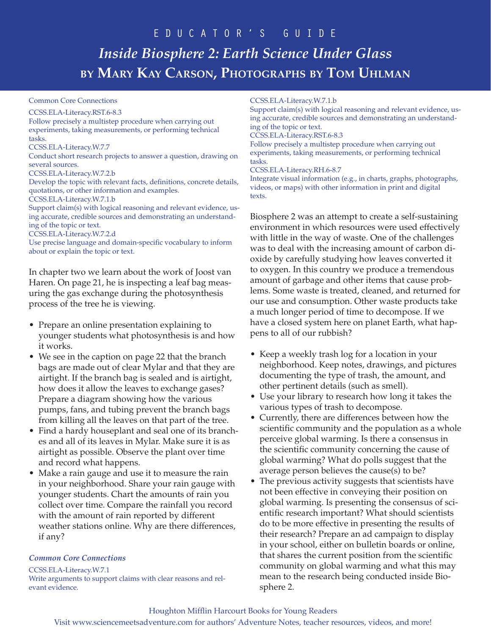#### Common Core Connections

#### CCSS.ELA-Literacy.RST.6-8.3

Follow precisely a multistep procedure when carrying out experiments, taking measurements, or performing technical tasks. CCSS.ELA-Literacy.W.7.7 Conduct short research projects to answer a question, drawing on

several sources.

CCSS.ELA-Literacy.W.7.2.b

Develop the topic with relevant facts, definitions, concrete details, quotations, or other information and examples.

CCSS.ELA-Literacy.W.7.1.b

Support claim(s) with logical reasoning and relevant evidence, using accurate, credible sources and demonstrating an understanding of the topic or text.

CCSS.ELA-Literacy.W.7.2.d

Use precise language and domain-specific vocabulary to inform about or explain the topic or text.

In chapter two we learn about the work of Joost van Haren. On page 21, he is inspecting a leaf bag measuring the gas exchange during the photosynthesis process of the tree he is viewing.

- Prepare an online presentation explaining to younger students what photosynthesis is and how it works.
- We see in the caption on page 22 that the branch bags are made out of clear Mylar and that they are airtight. If the branch bag is sealed and is airtight, how does it allow the leaves to exchange gases? Prepare a diagram showing how the various pumps, fans, and tubing prevent the branch bags from killing all the leaves on that part of the tree.
- Find a hardy houseplant and seal one of its branches and all of its leaves in Mylar. Make sure it is as airtight as possible. Observe the plant over time and record what happens.
- Make a rain gauge and use it to measure the rain in your neighborhood. Share your rain gauge with younger students. Chart the amounts of rain you collect over time. Compare the rainfall you record with the amount of rain reported by different weather stations online. Why are there differences, if any?

#### *Common Core Connections*

CCSS.ELA-Literacy.W.7.1

Write arguments to support claims with clear reasons and relevant evidence.

#### CCSS.ELA-Literacy.W.7.1.b

Support claim(s) with logical reasoning and relevant evidence, using accurate, credible sources and demonstrating an understanding of the topic or text.

#### CCSS.ELA-Literacy.RST.6-8.3

Follow precisely a multistep procedure when carrying out experiments, taking measurements, or performing technical tasks.

#### CCSS.ELA-Literacy.RH.6-8.7

Integrate visual information (e.g., in charts, graphs, photographs, videos, or maps) with other information in print and digital texts.

Biosphere 2 was an attempt to create a self-sustaining environment in which resources were used effectively with little in the way of waste. One of the challenges was to deal with the increasing amount of carbon dioxide by carefully studying how leaves converted it to oxygen. In this country we produce a tremendous amount of garbage and other items that cause problems. Some waste is treated, cleaned, and returned for our use and consumption. Other waste products take a much longer period of time to decompose. If we have a closed system here on planet Earth, what happens to all of our rubbish?

- Keep a weekly trash log for a location in your neighborhood. Keep notes, drawings, and pictures documenting the type of trash, the amount, and other pertinent details (such as smell).
- Use your library to research how long it takes the various types of trash to decompose.
- Currently, there are differences between how the scientific community and the population as a whole perceive global warming. Is there a consensus in the scientific community concerning the cause of global warming? What do polls suggest that the average person believes the cause(s) to be?
- The previous activity suggests that scientists have not been effective in conveying their position on global warming. Is presenting the consensus of scientific research important? What should scientists do to be more effective in presenting the results of their research? Prepare an ad campaign to display in your school, either on bulletin boards or online, that shares the current position from the scientific community on global warming and what this may mean to the research being conducted inside Biosphere 2.

#### Houghton Mifflin Harcourt Books for Young Readers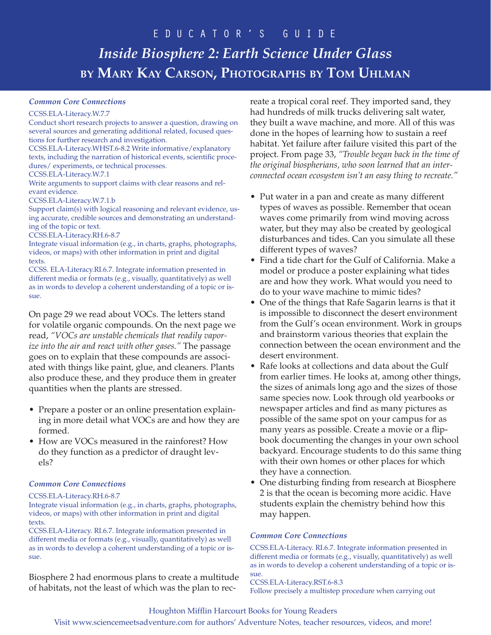#### *Common Core Connections*

#### CCSS.ELA-Literacy.W.7.7

Conduct short research projects to answer a question, drawing on several sources and generating additional related, focused questions for further research and investigation. CCSS.ELA-Literacy.WHST.6-8.2 Write informative/explanatory texts, including the narration of historical events, scientific procedures/ experiments, or technical processes. CCSS.ELA-Literacy.W.7.1 Write arguments to support claims with clear reasons and relevant evidence. CCSS.ELA-Literacy.W.7.1.b Support claim(s) with logical reasoning and relevant evidence, using accurate, credible sources and demonstrating an understanding of the topic or text. CCSS.ELA-Literacy.RH.6-8.7 Integrate visual information (e.g., in charts, graphs, photographs, videos, or maps) with other information in print and digital texts. CCSS. ELA-Literacy.RI.6.7. Integrate information presented in different media or formats (e.g., visually, quantitatively) as well as in words to develop a coherent understanding of a topic or issue.

On page 29 we read about VOCs. The letters stand for volatile organic compounds. On the next page we read, *"VOCs are unstable chemicals that readily vaporize into the air and react with other gases."* The passage goes on to explain that these compounds are associated with things like paint, glue, and cleaners. Plants also produce these, and they produce them in greater quantities when the plants are stressed.

- Prepare a poster or an online presentation explaining in more detail what VOCs are and how they are formed.
- How are VOCs measured in the rainforest? How do they function as a predictor of draught levels?

#### *Common Core Connections*

#### CCSS.ELA-Literacy.RH.6-8.7

Integrate visual information (e.g., in charts, graphs, photographs, videos, or maps) with other information in print and digital texts.

CCSS.ELA-Literacy. RI.6.7. Integrate information presented in different media or formats (e.g., visually, quantitatively) as well as in words to develop a coherent understanding of a topic or issue.

Biosphere 2 had enormous plans to create a multitude of habitats, not the least of which was the plan to recreate a tropical coral reef. They imported sand, they had hundreds of milk trucks delivering salt water, they built a wave machine, and more. All of this was done in the hopes of learning how to sustain a reef habitat. Yet failure after failure visited this part of the project. From page 33, *"Trouble began back in the time of the original biospherians, who soon learned that an interconnected ocean ecosystem isn't an easy thing to recreate."*

- Put water in a pan and create as many different types of waves as possible. Remember that ocean waves come primarily from wind moving across water, but they may also be created by geological disturbances and tides. Can you simulate all these different types of waves?
- Find a tide chart for the Gulf of California. Make a model or produce a poster explaining what tides are and how they work. What would you need to do to your wave machine to mimic tides?
- One of the things that Rafe Sagarin learns is that it is impossible to disconnect the desert environment from the Gulf's ocean environment. Work in groups and brainstorm various theories that explain the connection between the ocean environment and the desert environment.
- Rafe looks at collections and data about the Gulf from earlier times. He looks at, among other things, the sizes of animals long ago and the sizes of those same species now. Look through old yearbooks or newspaper articles and find as many pictures as possible of the same spot on your campus for as many years as possible. Create a movie or a flipbook documenting the changes in your own school backyard. Encourage students to do this same thing with their own homes or other places for which they have a connection.
- One disturbing finding from research at Biosphere 2 is that the ocean is becoming more acidic. Have students explain the chemistry behind how this may happen.

#### *Common Core Connections*

CCSS.ELA-Literacy. RI.6.7. Integrate information presented in different media or formats (e.g., visually, quantitatively) as well as in words to develop a coherent understanding of a topic or issue.

CCSS.ELA-Literacy.RST.6-8.3 Follow precisely a multistep procedure when carrying out

#### Houghton Mifflin Harcourt Books for Young Readers

Visit www.sciencemeetsadventure.com for authors' Adventure Notes, teacher resources, videos, and more!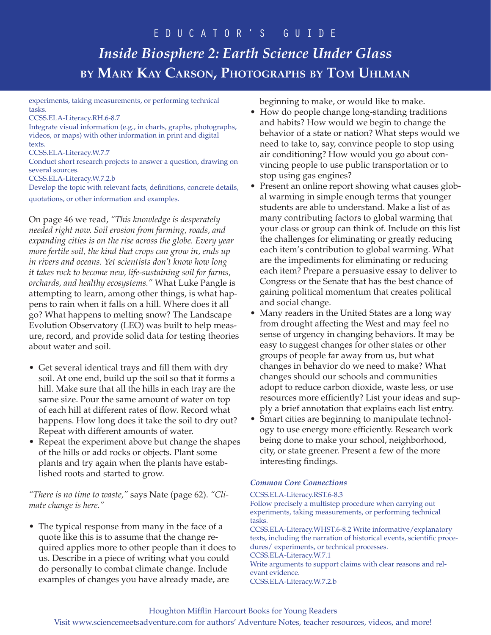experiments, taking measurements, or performing technical tasks.

CCSS.ELA-Literacy.RH.6-8.7

Integrate visual information (e.g., in charts, graphs, photographs, videos, or maps) with other information in print and digital texts.

CCSS.ELA-Literacy.W.7.7

Conduct short research projects to answer a question, drawing on several sources.

CCSS.ELA-Literacy.W.7.2.b

Develop the topic with relevant facts, definitions, concrete details, quotations, or other information and examples.

On page 46 we read, *"This knowledge is desperately needed right now. Soil erosion from farming, roads, and expanding cities is on the rise across the globe. Every year more fertile soil, the kind that crops can grow in, ends up in rivers and oceans. Yet scientists don't know how long it takes rock to become new, life-sustaining soil for farms, orchards, and healthy ecosystems."* What Luke Pangle is attempting to learn, among other things, is what happens to rain when it falls on a hill. Where does it all go? What happens to melting snow? The Landscape Evolution Observatory (LEO) was built to help measure, record, and provide solid data for testing theories about water and soil.

- Get several identical trays and fill them with dry soil. At one end, build up the soil so that it forms a hill. Make sure that all the hills in each tray are the same size. Pour the same amount of water on top of each hill at different rates of flow. Record what happens. How long does it take the soil to dry out? Repeat with different amounts of water.
- Repeat the experiment above but change the shapes of the hills or add rocks or objects. Plant some plants and try again when the plants have established roots and started to grow.

*"There is no time to waste,"* says Nate (page 62). *"Climate change is here."*

• The typical response from many in the face of a quote like this is to assume that the change required applies more to other people than it does to us. Describe in a piece of writing what you could do personally to combat climate change. Include examples of changes you have already made, are

beginning to make, or would like to make.

- How do people change long-standing traditions and habits? How would we begin to change the behavior of a state or nation? What steps would we need to take to, say, convince people to stop using air conditioning? How would you go about convincing people to use public transportation or to stop using gas engines?
- Present an online report showing what causes global warming in simple enough terms that younger students are able to understand. Make a list of as many contributing factors to global warming that your class or group can think of. Include on this list the challenges for eliminating or greatly reducing each item's contribution to global warming. What are the impediments for eliminating or reducing each item? Prepare a persuasive essay to deliver to Congress or the Senate that has the best chance of gaining political momentum that creates political and social change.
- Many readers in the United States are a long way from drought affecting the West and may feel no sense of urgency in changing behaviors. It may be easy to suggest changes for other states or other groups of people far away from us, but what changes in behavior do we need to make? What changes should our schools and communities adopt to reduce carbon dioxide, waste less, or use resources more efficiently? List your ideas and supply a brief annotation that explains each list entry.
- Smart cities are beginning to manipulate technology to use energy more efficiently. Research work being done to make your school, neighborhood, city, or state greener. Present a few of the more interesting findings.

### *Common Core Connections*

CCSS.ELA-Literacy.RST.6-8.3 Follow precisely a multistep procedure when carrying out experiments, taking measurements, or performing technical tasks. CCSS.ELA-Literacy.WHST.6-8.2 Write informative/explanatory texts, including the narration of historical events, scientific procedures/ experiments, or technical processes. CCSS.ELA-Literacy.W.7.1 Write arguments to support claims with clear reasons and relevant evidence.

CCSS.ELA-Literacy.W.7.2.b